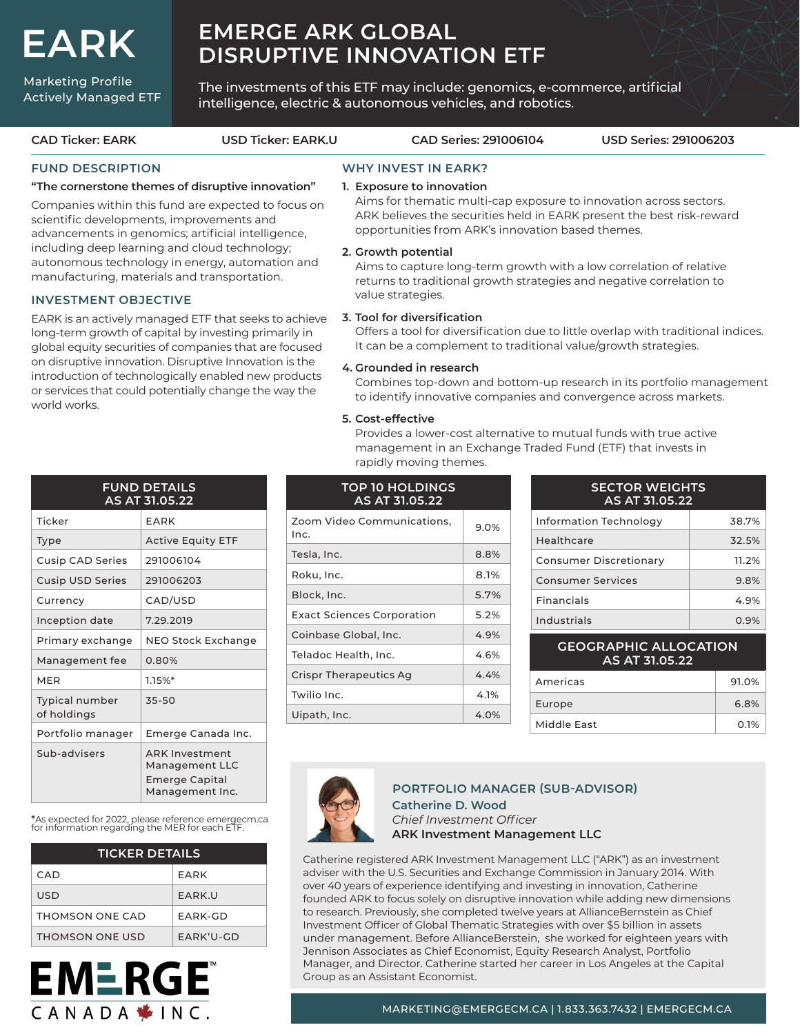# **EARK**

Marketing Profile Actively Managed ETF

# **EMERGE ARK GLOBAL DISRUPTIVE INNOVATION ETF**

The investments of this ETF may include: genomics, e-commerce, artificial intelligence, electric & autonomous vehicles, and robotics.

#### **FUND DESCRIPTION "The cornerstone themes of disruptive innovation"** Companies within this fund are expected to focus on scientific developments, improvements and advancements in genomics; artificial intelligence, including deep learning and cloud technology; autonomous technology in energy, automation and manufacturing, materials and transportation. **INVESTMENT OBJECTIVE** EARK is an actively managed ETF that seeks to achieve long-term growth of capital by investing primarily in global equity securities of companies that are focused on disruptive innovation. Disruptive Innovation is the introduction of technologically enabled new products or services that could potentially change the way the world works. **WHY INVEST IN EARK? 1. Exposure to innovation**  Aims for thematic multi-cap exposure to innovation across sectors. ARK believes the securities held in EARK present the best risk-reward opportunities from ARK's innovation based themes. **2. Growth potential** Aims to capture long-term growth with a low correlation of relative returns to traditional growth strategies and negative correlation to value strategies. **3. Tool for diversification** Offers a tool for diversification due to little overlap with traditional indices. It can be a complement to traditional value/growth strategies. **4. Grounded in research** Combines top-down and bottom-up research in its portfolio management to identify innovative companies and convergence across markets. **5. Cost-effective** Provides a lower-cost alternative to mutual funds with true active **CAD Ticker: EARK USD Ticker: EARK.U CAD Series: 291006104 USD Series: 291006203**

|                               | <b>FUND DETAILS</b><br>AS AT 31.05.22                                               |  |  |  |
|-------------------------------|-------------------------------------------------------------------------------------|--|--|--|
| Ticker                        | EARK                                                                                |  |  |  |
| <b>Type</b>                   | <b>Active Equity ETF</b>                                                            |  |  |  |
| <b>Cusip CAD Series</b>       | 291006104                                                                           |  |  |  |
| Cusip USD Series              | 291006203                                                                           |  |  |  |
| Currency                      | CAD/USD                                                                             |  |  |  |
| Inception date                | 7.29.2019                                                                           |  |  |  |
| Primary exchange              | NEO Stock Exchange                                                                  |  |  |  |
| Management fee                | 0.80%                                                                               |  |  |  |
| MFR                           | 1.15%*                                                                              |  |  |  |
| Typical number<br>of holdings | 35-50                                                                               |  |  |  |
| Portfolio manager             | Emerge Canada Inc.                                                                  |  |  |  |
| Sub-advisers                  | <b>ARK Investment</b><br>Management LLC<br><b>Emerge Capital</b><br>Management Inc. |  |  |  |

\*As expected for 2022, please reference emergecm.ca for information regarding the MER for each ETF.

| <b>TICKER DETAILS</b> |             |  |  |  |
|-----------------------|-------------|--|--|--|
| CAD.                  | EARK        |  |  |  |
| USD                   | FARK U      |  |  |  |
| THOMSON ONE CAD       | FARK-GD     |  |  |  |
| THOMSON ONE USD       | $FARK'U-GD$ |  |  |  |

**EMERGE** 

CANADA<sup>\*</sup>INC.



rapidly moving themes.

| AJ AL JI.VJ. <i>ll</i>             |      |
|------------------------------------|------|
| Zoom Video Communications,<br>Inc. | 9.0% |
| Tesla, Inc.                        | 8.8% |
| Roku, Inc.                         | 8.1% |
| Block, Inc.                        | 5.7% |
| <b>Exact Sciences Corporation</b>  | 5.2% |
| Coinbase Global. Inc.              | 4.9% |
| Teladoc Health, Inc.               | 4.6% |
| Crispr Therapeutics Ag             | 4.4% |
| Twilio Inc.                        | 4.1% |
| Uipath, Inc.                       | 4.0% |
|                                    |      |

| <b>SECTOR WEIGHTS</b><br>AS AT 31.05.22 |       |  |  |  |  |
|-----------------------------------------|-------|--|--|--|--|
| Information Technology                  | 38.7% |  |  |  |  |
| Healthcare                              | 32.5% |  |  |  |  |
| Consumer Discretionary                  | 11.2% |  |  |  |  |
| <b>Consumer Services</b>                | 9.8%  |  |  |  |  |
| <b>Financials</b>                       | 4.9%  |  |  |  |  |
| Industrials                             | 0.9%  |  |  |  |  |

| <b>GEOGRAPHIC ALLOCATION</b><br>AS AT 31.05.22 |       |  |  |
|------------------------------------------------|-------|--|--|
| Americas                                       | 91.0% |  |  |
| Europe                                         | 6.8%  |  |  |
| Middle Fast                                    | 0.1%  |  |  |



#### **Catherine D. Wood**  *Chief Investment Officer* **ARK Investment Management LLC PORTFOLIO MANAGER (SUB-ADVISOR)**

management in an Exchange Traded Fund (ETF) that invests in

Catherine registered ARK Investment Management LLC ("ARK") as an investment adviser with the U.S. Securities and Exchange Commission in January 2014. With over 40 years of experience identifying and investing in innovation, Catherine founded ARK to focus solely on disruptive innovation while adding new dimensions to research. Previously, she completed twelve years at AllianceBernstein as Chief Investment Officer of Global Thematic Strategies with over \$5 billion in assets under management. Before AllianceBerstein, she worked for eighteen years with Jennison Associates as Chief Economist, Equity Research Analyst, Portfolio Manager, and Director. Catherine started her career in Los Angeles at the Capital Group as an Assistant Economist.